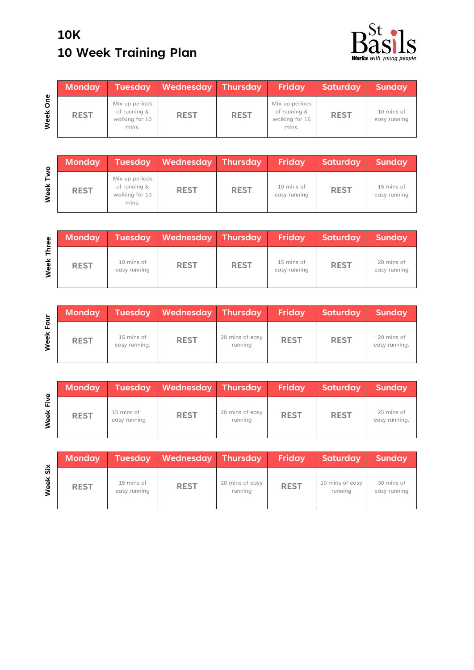## **10K 10 Week Training Plan**



|             | <b>Monday</b> | <b>Tuesday</b>                                            | <b>Wednesday Thursday</b> |             | Friday                                                    | Saturday    | <b>Sunday</b>              |
|-------------|---------------|-----------------------------------------------------------|---------------------------|-------------|-----------------------------------------------------------|-------------|----------------------------|
| One<br>Week | <b>REST</b>   | Mix up periods<br>of running &<br>walking for 10<br>mins. | <b>REST</b>               | <b>REST</b> | Mix up periods<br>of running &<br>walking for 15<br>mins. | <b>REST</b> | 10 mins of<br>easy running |

| ō         | <b>Monday</b> | <b>Tuesday</b>                                            | Wednesday Thursday |             | <b>Friday</b>              | <b>Saturday</b> | <b>Sunday</b>              |
|-----------|---------------|-----------------------------------------------------------|--------------------|-------------|----------------------------|-----------------|----------------------------|
| É<br>Week | <b>REST</b>   | Mix up periods<br>of running &<br>walking for 10<br>mins. | <b>REST</b>        | <b>REST</b> | 10 mins of<br>easy running | <b>REST</b>     | 15 mins of<br>easy running |

| စို့      | <b>Monday</b> | <b>Tuesday</b>             | <b>Wednesday Thursday</b> |             | Friday                     | Saturday    | <b>Sunday</b>              |
|-----------|---------------|----------------------------|---------------------------|-------------|----------------------------|-------------|----------------------------|
| 주<br>Week | <b>REST</b>   | 10 mins of<br>easy running | <b>REST</b>               | <b>REST</b> | 15 mins of<br>easy running | <b>REST</b> | 20 mins of<br>easy running |

| $\overline{5}$ | <b>Monday</b> | <b>Tuesday</b>              | Wednesday Thursday |                            | Friday      | Saturday    | <b>Sunday</b>               |
|----------------|---------------|-----------------------------|--------------------|----------------------------|-------------|-------------|-----------------------------|
| 요<br>Week      | <b>REST</b>   | 15 mins of<br>easy running. | <b>REST</b>        | 20 mins of easy<br>running | <b>REST</b> | <b>REST</b> | 20 mins of<br>easy running. |

| Φ         | <b>Monday</b> |                            | Tuesday Wednesday Thursday |                            | Friday      | Saturday    | Sunday                      |
|-----------|---------------|----------------------------|----------------------------|----------------------------|-------------|-------------|-----------------------------|
| 让<br>Week | <b>REST</b>   | 15 mins of<br>easy running | <b>REST</b>                | 20 mins of easy<br>running | <b>REST</b> | <b>REST</b> | 25 mins of<br>easy running. |

|                                    | <b>Monday</b> |                            | Tuesday Wednesday Thursday |                            | Friday      | Saturday                   | Sunday                     |
|------------------------------------|---------------|----------------------------|----------------------------|----------------------------|-------------|----------------------------|----------------------------|
| $\overline{\mathsf{s}}$ ix<br>Week | <b>REST</b>   | 15 mins of<br>easy running | <b>REST</b>                | 20 mins of easy<br>running | <b>REST</b> | 10 mins of easy<br>running | 30 mins of<br>easy running |